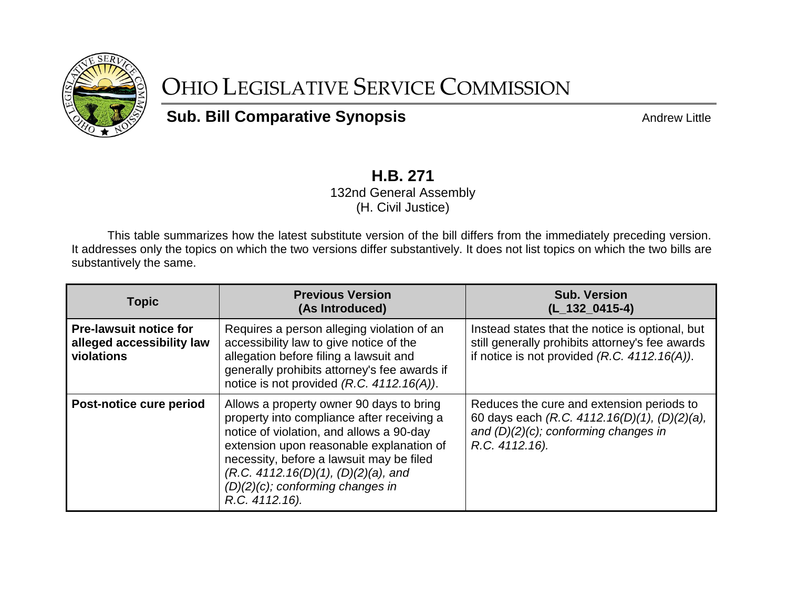

## OHIO LEGISLATIVE SERVICE COMMISSION

## **Sub. Bill Comparative Synopsis Andrew Little** Andrew Little

## **H.B. 271**

132nd General Assembly (H. Civil Justice)

This table summarizes how the latest substitute version of the bill differs from the immediately preceding version. It addresses only the topics on which the two versions differ substantively. It does not list topics on which the two bills are substantively the same.

| <b>Topic</b>                                                             | <b>Previous Version</b><br>(As Introduced)                                                                                                                                                                                                                                                                                 | <b>Sub. Version</b><br>$(L_132_0415-4)$                                                                                                                |
|--------------------------------------------------------------------------|----------------------------------------------------------------------------------------------------------------------------------------------------------------------------------------------------------------------------------------------------------------------------------------------------------------------------|--------------------------------------------------------------------------------------------------------------------------------------------------------|
| <b>Pre-lawsuit notice for</b><br>alleged accessibility law<br>violations | Requires a person alleging violation of an<br>accessibility law to give notice of the<br>allegation before filing a lawsuit and<br>generally prohibits attorney's fee awards if<br>notice is not provided (R.C. 4112.16(A)).                                                                                               | Instead states that the notice is optional, but<br>still generally prohibits attorney's fee awards<br>if notice is not provided $(R.C. 4112.16(A))$ .  |
| Post-notice cure period                                                  | Allows a property owner 90 days to bring<br>property into compliance after receiving a<br>notice of violation, and allows a 90-day<br>extension upon reasonable explanation of<br>necessity, before a lawsuit may be filed<br>(R.C. 4112.16(D)(1), (D)(2)(a), and<br>$(D)(2)(c)$ ; conforming changes in<br>R.C. 4112.16). | Reduces the cure and extension periods to<br>60 days each (R.C. 4112.16(D)(1), (D)(2)(a),<br>and $(D)(2)(c)$ ; conforming changes in<br>R.C. 4112.16). |